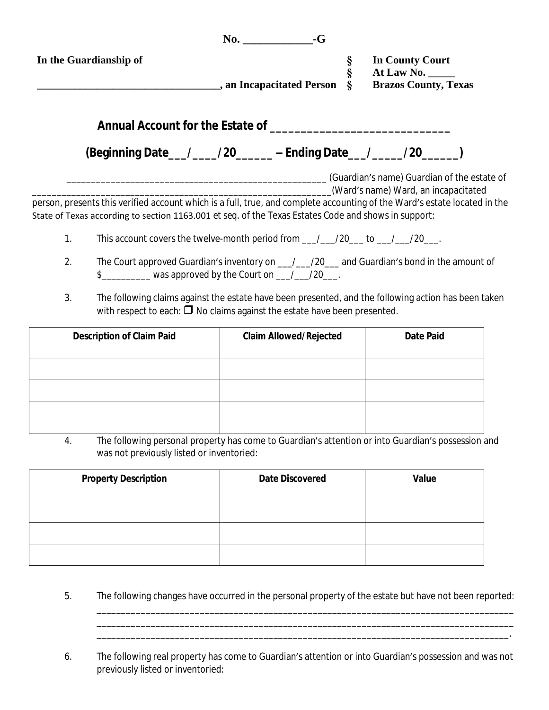|                                                                                                      | $\mathbf{No.}$ $-\mathbf{G}$                                                                                            |                                                                                                                           |
|------------------------------------------------------------------------------------------------------|-------------------------------------------------------------------------------------------------------------------------|---------------------------------------------------------------------------------------------------------------------------|
| In the Guardianship of                                                                               |                                                                                                                         | <b>In County Court</b>                                                                                                    |
|                                                                                                      |                                                                                                                         | S<br>S<br>S<br>S<br>At Law No. $\_\_\_\_\_\_\$                                                                            |
|                                                                                                      | s an Incapacitated Person                                                                                               | <b>Brazos County, Texas</b>                                                                                               |
|                                                                                                      | Annual Account for the Estate of Theorem 2012 and 2012 and 2013                                                         |                                                                                                                           |
|                                                                                                      | (Beginning Date__/___/20_____-Ending Date__/____/20_____)                                                               |                                                                                                                           |
|                                                                                                      |                                                                                                                         | (Guardian's name) Guardian of the estate of                                                                               |
|                                                                                                      |                                                                                                                         | (Ward's name) Ward, an incapacitated                                                                                      |
|                                                                                                      |                                                                                                                         | person, presents this verified account which is a full, true, and complete accounting of the Ward's estate located in the |
| State of Texas according to section 1163.001 et seq. of the Texas Estates Code and shows in support: |                                                                                                                         |                                                                                                                           |
|                                                                                                      | This account covers the twelve-month period from $\frac{1}{2}$ /20 $\frac{1}{2}$ to $\frac{1}{20}$ /20 $\frac{1}{20}$ . |                                                                                                                           |

- 2. The Court approved Guardian's inventory on \_\_\_/\_\_\_/20\_\_\_ and Guardian's bond in the amount of  $\frac{1}{20}$  was approved by the Court on  $\frac{1}{20}$  /20\_\_\_.
- 3. The following claims against the estate have been presented, and the following action has been taken with respect to each:  $\Box$  No claims against the estate have been presented.

| <b>Description of Claim Paid</b> | <b>Claim Allowed/Rejected</b> | <b>Date Paid</b> |
|----------------------------------|-------------------------------|------------------|
|                                  |                               |                  |
|                                  |                               |                  |
|                                  |                               |                  |
|                                  |                               |                  |
|                                  |                               |                  |

4. The following personal property has come to Guardian's attention or into Guardian's possession and was not previously listed or inventoried:

| <b>Property Description</b> | <b>Date Discovered</b> | Value |
|-----------------------------|------------------------|-------|
|                             |                        |       |
|                             |                        |       |
|                             |                        |       |

5. The following changes have occurred in the personal property of the estate but have not been reported:

\_\_\_\_\_\_\_\_\_\_\_\_\_\_\_\_\_\_\_\_\_\_\_\_\_\_\_\_\_\_\_\_\_\_\_\_\_\_\_\_\_\_\_\_\_\_\_\_\_\_\_\_\_\_\_\_\_\_\_\_\_\_\_\_\_\_\_\_\_\_\_\_\_\_\_\_\_\_\_\_\_\_\_\_\_ \_\_\_\_\_\_\_\_\_\_\_\_\_\_\_\_\_\_\_\_\_\_\_\_\_\_\_\_\_\_\_\_\_\_\_\_\_\_\_\_\_\_\_\_\_\_\_\_\_\_\_\_\_\_\_\_\_\_\_\_\_\_\_\_\_\_\_\_\_\_\_\_\_\_\_\_\_\_\_\_\_\_\_\_.

6. The following real property has come to Guardian's attention or into Guardian's possession and was not previously listed or inventoried: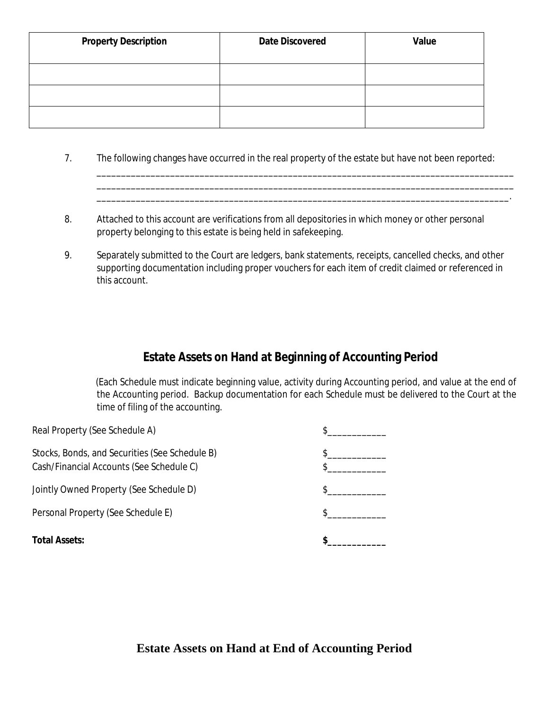| <b>Property Description</b> | <b>Date Discovered</b> | Value |
|-----------------------------|------------------------|-------|
|                             |                        |       |
|                             |                        |       |
|                             |                        |       |

7. The following changes have occurred in the real property of the estate but have not been reported:

\_\_\_\_\_\_\_\_\_\_\_\_\_\_\_\_\_\_\_\_\_\_\_\_\_\_\_\_\_\_\_\_\_\_\_\_\_\_\_\_\_\_\_\_\_\_\_\_\_\_\_\_\_\_\_\_\_\_\_\_\_\_\_\_\_\_\_\_\_\_\_\_\_\_\_\_\_\_\_\_\_\_\_\_\_ \_\_\_\_\_\_\_\_\_\_\_\_\_\_\_\_\_\_\_\_\_\_\_\_\_\_\_\_\_\_\_\_\_\_\_\_\_\_\_\_\_\_\_\_\_\_\_\_\_\_\_\_\_\_\_\_\_\_\_\_\_\_\_\_\_\_\_\_\_\_\_\_\_\_\_\_\_\_\_\_\_\_\_\_\_ \_\_\_\_\_\_\_\_\_\_\_\_\_\_\_\_\_\_\_\_\_\_\_\_\_\_\_\_\_\_\_\_\_\_\_\_\_\_\_\_\_\_\_\_\_\_\_\_\_\_\_\_\_\_\_\_\_\_\_\_\_\_\_\_\_\_\_\_\_\_\_\_\_\_\_\_\_\_\_\_\_\_\_\_.

- 8. Attached to this account are verifications from all depositories in which money or other personal property belonging to this estate is being held in safekeeping.
- 9. Separately submitted to the Court are ledgers, bank statements, receipts, cancelled checks, and other supporting documentation including proper vouchers for each item of credit claimed or referenced in this account.

# **Estate Assets on Hand at Beginning of Accounting Period**

(Each Schedule must indicate beginning value, activity during Accounting period, and value at the end of the Accounting period. Backup documentation for each Schedule must be delivered to the Court at the time of filing of the accounting.

| <b>Total Assets:</b>                                                                       |  |
|--------------------------------------------------------------------------------------------|--|
| Personal Property (See Schedule E)                                                         |  |
| Jointly Owned Property (See Schedule D)                                                    |  |
| Stocks, Bonds, and Securities (See Schedule B)<br>Cash/Financial Accounts (See Schedule C) |  |
| Real Property (See Schedule A)                                                             |  |

**Estate Assets on Hand at End of Accounting Period**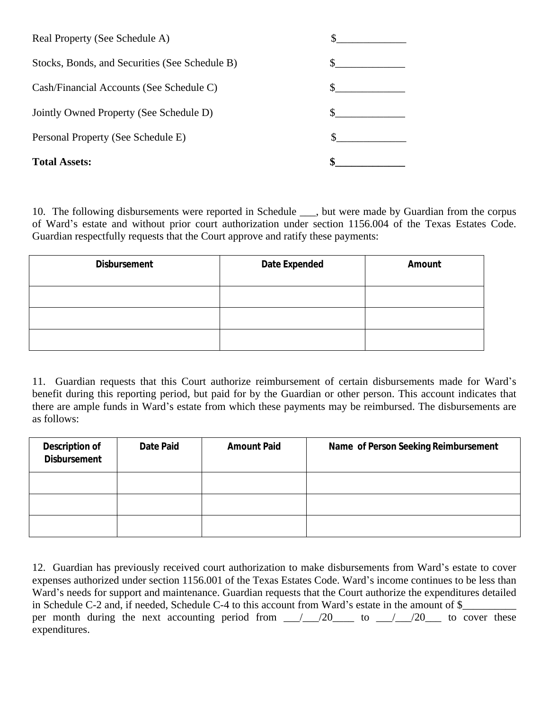| <b>Total Assets:</b>                           |  |
|------------------------------------------------|--|
| Personal Property (See Schedule E)             |  |
| Jointly Owned Property (See Schedule D)        |  |
| Cash/Financial Accounts (See Schedule C)       |  |
| Stocks, Bonds, and Securities (See Schedule B) |  |
| Real Property (See Schedule A)                 |  |

10. The following disbursements were reported in Schedule \_\_\_, but were made by Guardian from the corpus of Ward's estate and without prior court authorization under section 1156.004 of the Texas Estates Code. Guardian respectfully requests that the Court approve and ratify these payments:

| <b>Disbursement</b> | Date Expended | Amount |
|---------------------|---------------|--------|
|                     |               |        |
|                     |               |        |
|                     |               |        |

11. Guardian requests that this Court authorize reimbursement of certain disbursements made for Ward's benefit during this reporting period, but paid for by the Guardian or other person. This account indicates that there are ample funds in Ward's estate from which these payments may be reimbursed. The disbursements are as follows:

| <b>Description of</b><br><b>Disbursement</b> | Date Paid | <b>Amount Paid</b> | Name of Person Seeking Reimbursement |
|----------------------------------------------|-----------|--------------------|--------------------------------------|
|                                              |           |                    |                                      |
|                                              |           |                    |                                      |
|                                              |           |                    |                                      |

12. Guardian has previously received court authorization to make disbursements from Ward's estate to cover expenses authorized under section 1156.001 of the Texas Estates Code. Ward's income continues to be less than Ward's needs for support and maintenance. Guardian requests that the Court authorize the expenditures detailed in Schedule C-2 and, if needed, Schedule C-4 to this account from Ward's estate in the amount of \$\_\_\_\_\_\_\_\_\_\_ per month during the next accounting period from  $\frac{1}{20}$  to  $\frac{1}{20}$  to cover these expenditures.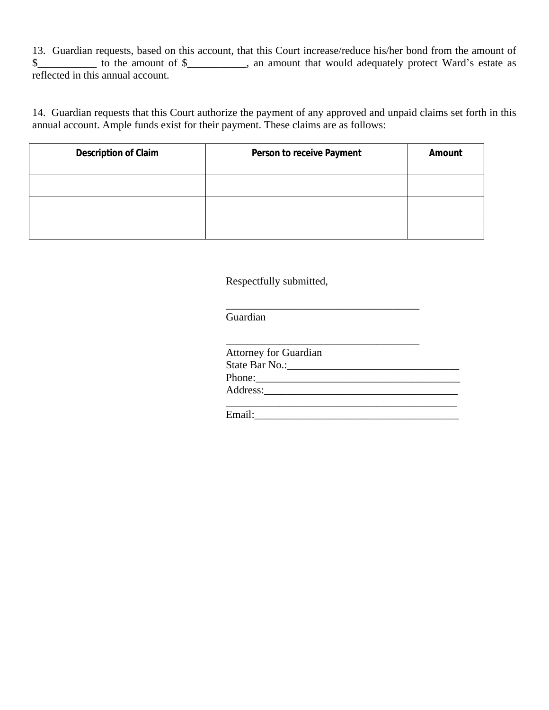13. Guardian requests, based on this account, that this Court increase/reduce his/her bond from the amount of \$\_\_\_\_\_\_\_\_\_\_\_\_ to the amount of \$\_\_\_\_\_\_\_\_\_\_, an amount that would adequately protect Ward's estate as reflected in this annual account.

14. Guardian requests that this Court authorize the payment of any approved and unpaid claims set forth in this annual account. Ample funds exist for their payment. These claims are as follows:

| <b>Description of Claim</b> | Person to receive Payment | Amount |
|-----------------------------|---------------------------|--------|
|                             |                           |        |
|                             |                           |        |
|                             |                           |        |

Respectfully submitted,

Guardian

\_\_\_\_\_\_\_\_\_\_\_\_\_\_\_\_\_\_\_\_\_\_\_\_\_\_\_\_\_\_\_\_\_\_\_\_

Email: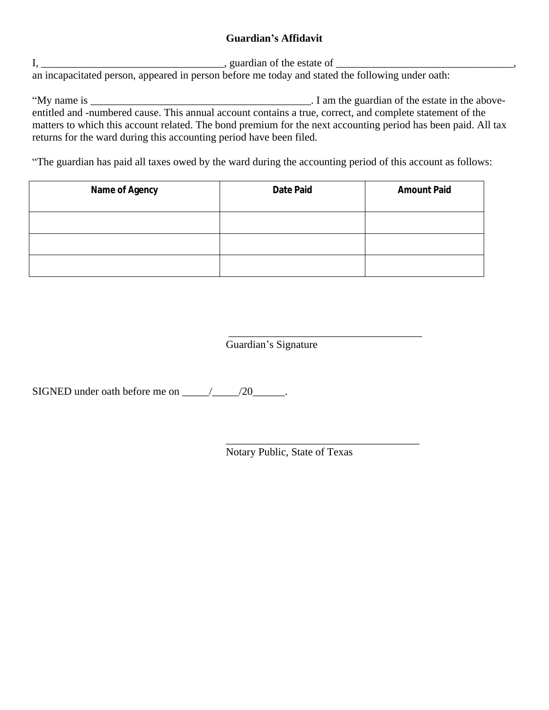### **Guardian's Affidavit**

I, \_\_\_\_\_\_\_\_\_\_\_\_\_\_\_\_\_\_\_\_\_\_\_\_\_\_\_\_\_\_\_\_\_\_, guardian of the estate of \_\_\_\_\_\_\_\_\_\_\_\_\_\_\_\_\_\_\_\_\_\_\_\_\_\_\_\_\_\_\_\_\_, an incapacitated person, appeared in person before me today and stated the following under oath:

"My name is \_\_\_\_\_\_\_\_\_\_\_\_\_\_\_\_\_\_\_\_\_\_\_\_\_\_\_\_\_\_\_\_\_\_\_\_\_\_\_\_\_. I am the guardian of the estate in the aboveentitled and -numbered cause. This annual account contains a true, correct, and complete statement of the matters to which this account related. The bond premium for the next accounting period has been paid. All tax returns for the ward during this accounting period have been filed.

"The guardian has paid all taxes owed by the ward during the accounting period of this account as follows:

| <b>Name of Agency</b> | <b>Date Paid</b> | <b>Amount Paid</b> |
|-----------------------|------------------|--------------------|
|                       |                  |                    |
|                       |                  |                    |
|                       |                  |                    |

 $\overline{\phantom{a}}$  ,  $\overline{\phantom{a}}$  ,  $\overline{\phantom{a}}$  ,  $\overline{\phantom{a}}$  ,  $\overline{\phantom{a}}$  ,  $\overline{\phantom{a}}$  ,  $\overline{\phantom{a}}$  ,  $\overline{\phantom{a}}$  ,  $\overline{\phantom{a}}$  ,  $\overline{\phantom{a}}$  ,  $\overline{\phantom{a}}$  ,  $\overline{\phantom{a}}$  ,  $\overline{\phantom{a}}$  ,  $\overline{\phantom{a}}$  ,  $\overline{\phantom{a}}$  ,  $\overline{\phantom{a}}$ Guardian's Signature

SIGNED under oath before me on  $\frac{1}{20}$ .

Notary Public, State of Texas

\_\_\_\_\_\_\_\_\_\_\_\_\_\_\_\_\_\_\_\_\_\_\_\_\_\_\_\_\_\_\_\_\_\_\_\_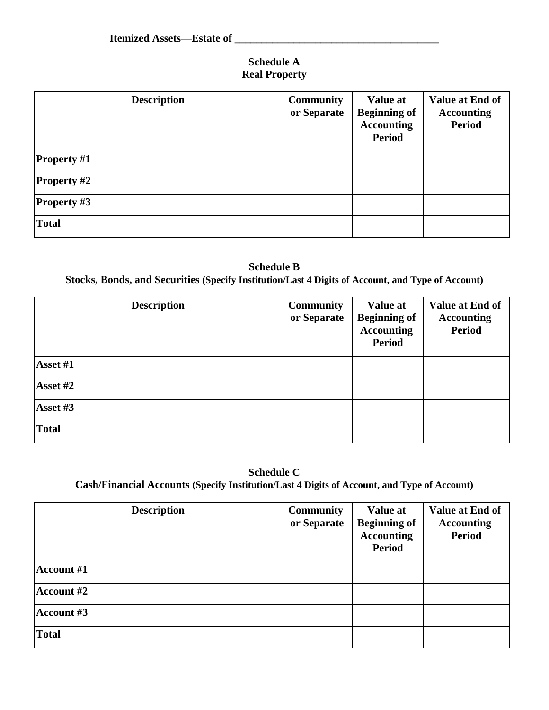### **Schedule A Real Property**

| <b>Description</b> | <b>Community</b><br>or Separate | <b>Value at</b><br><b>Beginning of</b><br><b>Accounting</b><br><b>Period</b> | Value at End of<br><b>Accounting</b><br><b>Period</b> |
|--------------------|---------------------------------|------------------------------------------------------------------------------|-------------------------------------------------------|
| <b>Property</b> #1 |                                 |                                                                              |                                                       |
| <b>Property #2</b> |                                 |                                                                              |                                                       |
| <b>Property #3</b> |                                 |                                                                              |                                                       |
| <b>Total</b>       |                                 |                                                                              |                                                       |

### **Schedule B Stocks, Bonds, and Securities (Specify Institution/Last 4 Digits of Account, and Type of Account)**

| <b>Description</b>               | <b>Community</b><br>or Separate | <b>Value at</b><br><b>Beginning of</b><br><b>Accounting</b><br><b>Period</b> | Value at End of<br><b>Accounting</b><br><b>Period</b> |
|----------------------------------|---------------------------------|------------------------------------------------------------------------------|-------------------------------------------------------|
| $\textsf{Asset}\#1$              |                                 |                                                                              |                                                       |
| $\textsf{Asset}\,{\textit{\#2}}$ |                                 |                                                                              |                                                       |
| Asset #3                         |                                 |                                                                              |                                                       |
| Total                            |                                 |                                                                              |                                                       |

### **Schedule C Cash/Financial Accounts (Specify Institution/Last 4 Digits of Account, and Type of Account)**

| <b>Description</b>       | <b>Community</b><br>or Separate | <b>Value at</b><br><b>Beginning of</b><br><b>Accounting</b><br><b>Period</b> | Value at End of<br><b>Accounting</b><br><b>Period</b> |
|--------------------------|---------------------------------|------------------------------------------------------------------------------|-------------------------------------------------------|
| $ {\text{Account }}\#1 $ |                                 |                                                                              |                                                       |
| $ {\text{Account H2}} $  |                                 |                                                                              |                                                       |
| $ {\text{Account }}\#3 $ |                                 |                                                                              |                                                       |
| Total                    |                                 |                                                                              |                                                       |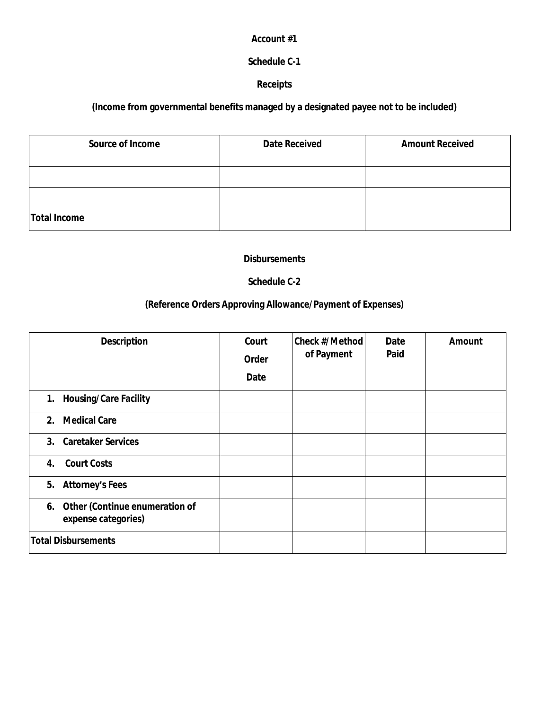#### **Account #1**

### **Schedule C-1**

#### **Receipts**

## **(Income from governmental benefits managed by a designated payee not to be included)**

| <b>Source of Income</b> | <b>Date Received</b> | <b>Amount Received</b> |
|-------------------------|----------------------|------------------------|
|                         |                      |                        |
|                         |                      |                        |
|                         |                      |                        |
| Total Income            |                      |                        |

#### **Disbursements**

#### **Schedule C-2**

### **(Reference Orders Approving Allowance/Payment of Expenses)**

| <b>Description</b>                                       | Court<br>Order<br>Date | <b>Check #/Method</b><br>of Payment | Date<br>Paid | Amount |
|----------------------------------------------------------|------------------------|-------------------------------------|--------------|--------|
| 1. Housing/Care Facility                                 |                        |                                     |              |        |
| 2. Medical Care                                          |                        |                                     |              |        |
| 3. Caretaker Services                                    |                        |                                     |              |        |
| <b>Court Costs</b><br>4.                                 |                        |                                     |              |        |
| 5. Attorney's Fees                                       |                        |                                     |              |        |
| 6. Other (Continue enumeration of<br>expense categories) |                        |                                     |              |        |
| <b>Total Disbursements</b>                               |                        |                                     |              |        |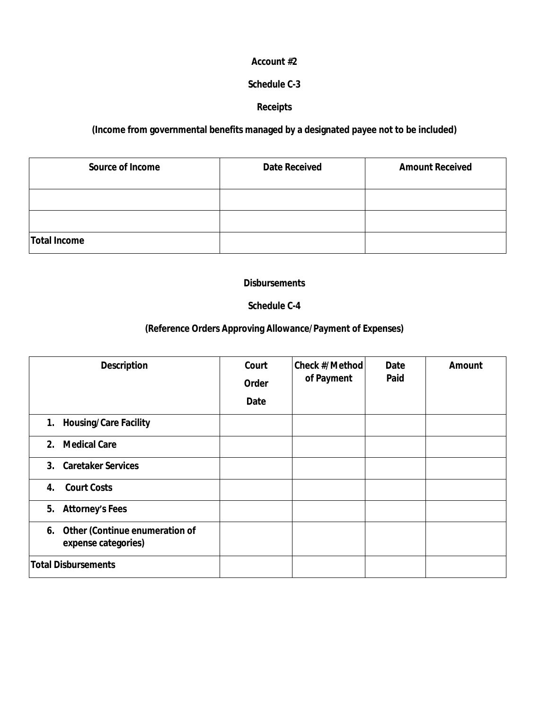#### **Account #2**

#### **Schedule C-3**

#### **Receipts**

### **(Income from governmental benefits managed by a designated payee not to be included)**

| <b>Source of Income</b> | <b>Date Received</b> | <b>Amount Received</b> |
|-------------------------|----------------------|------------------------|
|                         |                      |                        |
|                         |                      |                        |
| Total Income            |                      |                        |

#### **Disbursements**

#### **Schedule C-4**

### **(Reference Orders Approving Allowance/Payment of Expenses)**

| <b>Description</b>                                       | Court<br>Order<br>Date | <b>Check #/Method</b><br>of Payment | Date<br>Paid | Amount |
|----------------------------------------------------------|------------------------|-------------------------------------|--------------|--------|
| 1. Housing/Care Facility                                 |                        |                                     |              |        |
| 2. Medical Care                                          |                        |                                     |              |        |
| 3. Caretaker Services                                    |                        |                                     |              |        |
| <b>Court Costs</b><br>4.                                 |                        |                                     |              |        |
| 5. Attorney's Fees                                       |                        |                                     |              |        |
| 6. Other (Continue enumeration of<br>expense categories) |                        |                                     |              |        |
| <b>Total Disbursements</b>                               |                        |                                     |              |        |